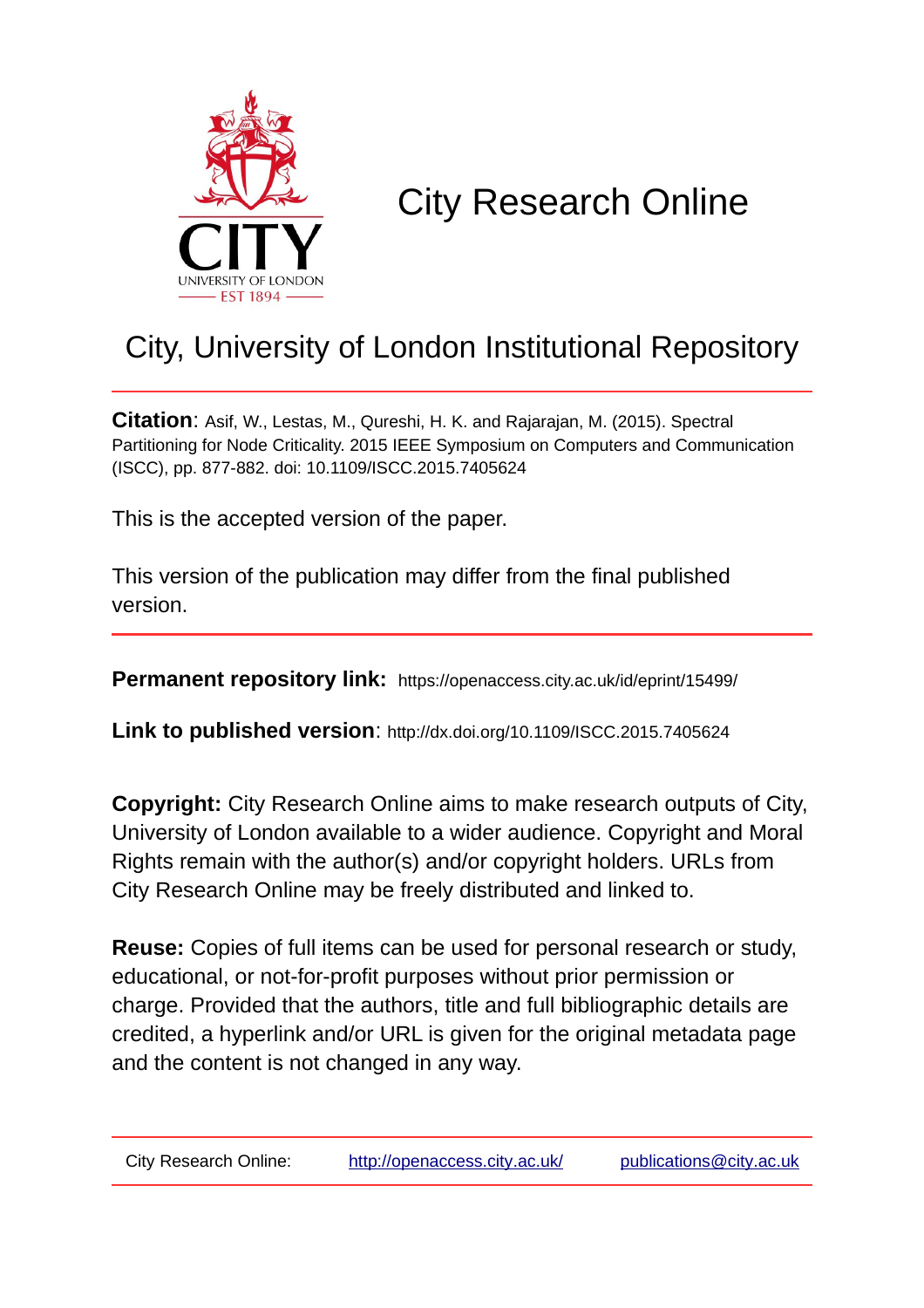

# City Research Online

## City, University of London Institutional Repository

**Citation**: Asif, W., Lestas, M., Qureshi, H. K. and Rajarajan, M. (2015). Spectral Partitioning for Node Criticality. 2015 IEEE Symposium on Computers and Communication (ISCC), pp. 877-882. doi: 10.1109/ISCC.2015.7405624

This is the accepted version of the paper.

This version of the publication may differ from the final published version.

**Permanent repository link:** https://openaccess.city.ac.uk/id/eprint/15499/

**Link to published version**: http://dx.doi.org/10.1109/ISCC.2015.7405624

**Copyright:** City Research Online aims to make research outputs of City, University of London available to a wider audience. Copyright and Moral Rights remain with the author(s) and/or copyright holders. URLs from City Research Online may be freely distributed and linked to.

**Reuse:** Copies of full items can be used for personal research or study, educational, or not-for-profit purposes without prior permission or charge. Provided that the authors, title and full bibliographic details are credited, a hyperlink and/or URL is given for the original metadata page and the content is not changed in any way.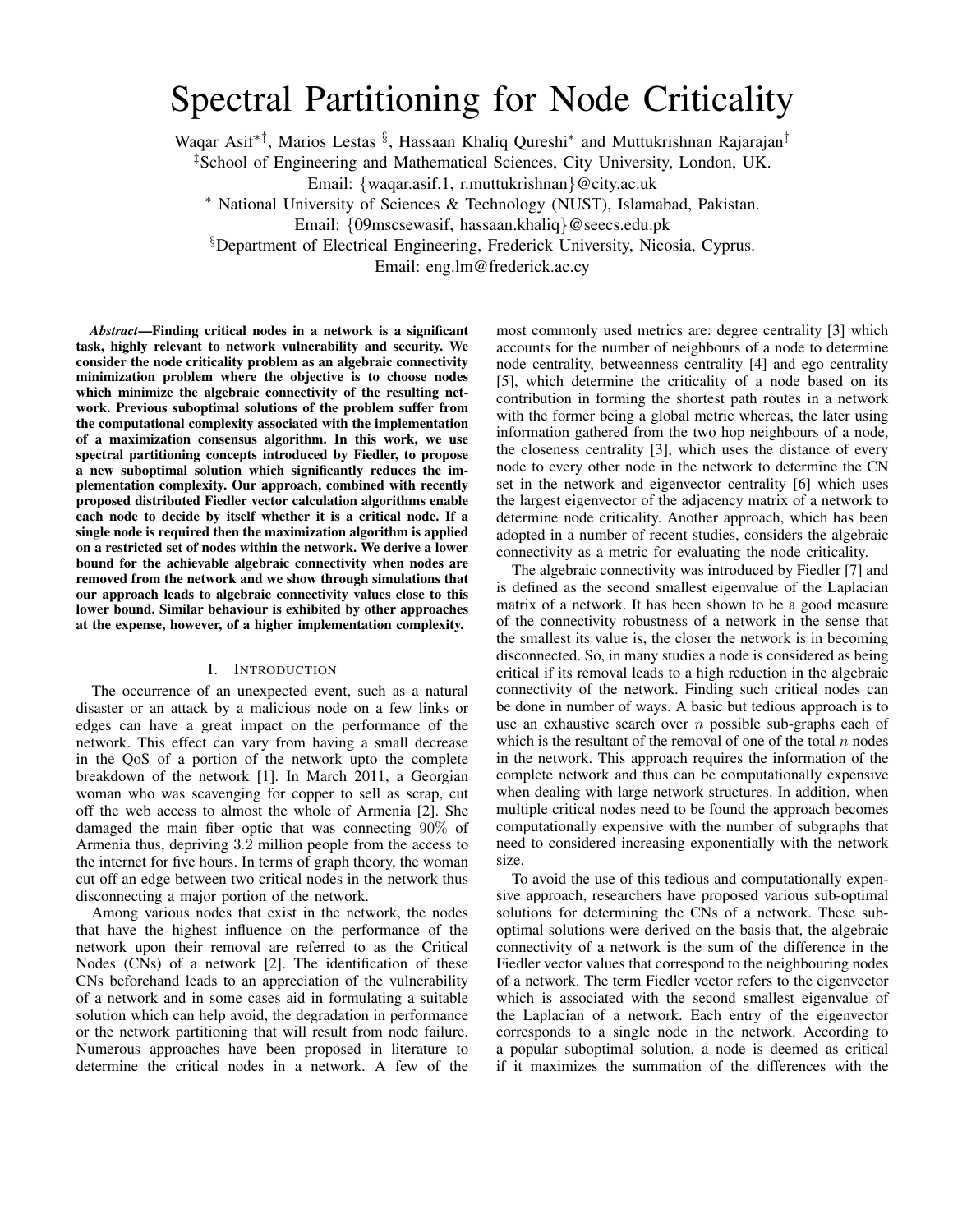### Spectral Partitioning for Node Criticality

Waqar Asif<sup>∗‡</sup>, Marios Lestas <sup>§</sup>, Hassaan Khaliq Qureshi<sup>∗</sup> and Muttukrishnan Rajarajan<sup>‡</sup>

‡School of Engineering and Mathematical Sciences, City University, London, UK.

Email: {waqar.asif.1, r.muttukrishnan}@city.ac.uk

<sup>∗</sup> National University of Sciences & Technology (NUST), Islamabad, Pakistan.

Email: {09mscsewasif, hassaan.khaliq}@seecs.edu.pk

§Department of Electrical Engineering, Frederick University, Nicosia, Cyprus.

Email: eng.lm@frederick.ac.cy

*Abstract*—Finding critical nodes in a network is a significant task, highly relevant to network vulnerability and security. We consider the node criticality problem as an algebraic connectivity minimization problem where the objective is to choose nodes which minimize the algebraic connectivity of the resulting network. Previous suboptimal solutions of the problem suffer from the computational complexity associated with the implementation of a maximization consensus algorithm. In this work, we use spectral partitioning concepts introduced by Fiedler, to propose a new suboptimal solution which significantly reduces the implementation complexity. Our approach, combined with recently proposed distributed Fiedler vector calculation algorithms enable each node to decide by itself whether it is a critical node. If a single node is required then the maximization algorithm is applied on a restricted set of nodes within the network. We derive a lower bound for the achievable algebraic connectivity when nodes are removed from the network and we show through simulations that our approach leads to algebraic connectivity values close to this lower bound. Similar behaviour is exhibited by other approaches at the expense, however, of a higher implementation complexity.

#### I. INTRODUCTION

The occurrence of an unexpected event, such as a natural disaster or an attack by a malicious node on a few links or edges can have a great impact on the performance of the network. This effect can vary from having a small decrease in the QoS of a portion of the network upto the complete breakdown of the network [1]. In March 2011, a Georgian woman who was scavenging for copper to sell as scrap, cut off the web access to almost the whole of Armenia [2]. She damaged the main fiber optic that was connecting 90% of Armenia thus, depriving 3.2 million people from the access to the internet for five hours. In terms of graph theory, the woman cut off an edge between two critical nodes in the network thus disconnecting a major portion of the network.

Among various nodes that exist in the network, the nodes that have the highest influence on the performance of the network upon their removal are referred to as the Critical Nodes (CNs) of a network [2]. The identification of these CNs beforehand leads to an appreciation of the vulnerability of a network and in some cases aid in formulating a suitable solution which can help avoid, the degradation in performance or the network partitioning that will result from node failure. Numerous approaches have been proposed in literature to determine the critical nodes in a network. A few of the most commonly used metrics are: degree centrality [3] which accounts for the number of neighbours of a node to determine node centrality, betweenness centrality [4] and ego centrality [5], which determine the criticality of a node based on its contribution in forming the shortest path routes in a network with the former being a global metric whereas, the later using information gathered from the two hop neighbours of a node, the closeness centrality [3], which uses the distance of every node to every other node in the network to determine the CN set in the network and eigenvector centrality [6] which uses the largest eigenvector of the adjacency matrix of a network to determine node criticality. Another approach, which has been adopted in a number of recent studies, considers the algebraic connectivity as a metric for evaluating the node criticality.

The algebraic connectivity was introduced by Fiedler [7] and is defined as the second smallest eigenvalue of the Laplacian matrix of a network. It has been shown to be a good measure of the connectivity robustness of a network in the sense that the smallest its value is, the closer the network is in becoming disconnected. So, in many studies a node is considered as being critical if its removal leads to a high reduction in the algebraic connectivity of the network. Finding such critical nodes can be done in number of ways. A basic but tedious approach is to use an exhaustive search over  $n$  possible sub-graphs each of which is the resultant of the removal of one of the total  $n$  nodes in the network. This approach requires the information of the complete network and thus can be computationally expensive when dealing with large network structures. In addition, when multiple critical nodes need to be found the approach becomes computationally expensive with the number of subgraphs that need to considered increasing exponentially with the network size.

To avoid the use of this tedious and computationally expensive approach, researchers have proposed various sub-optimal solutions for determining the CNs of a network. These suboptimal solutions were derived on the basis that, the algebraic connectivity of a network is the sum of the difference in the Fiedler vector values that correspond to the neighbouring nodes of a network. The term Fiedler vector refers to the eigenvector which is associated with the second smallest eigenvalue of the Laplacian of a network. Each entry of the eigenvector corresponds to a single node in the network. According to a popular suboptimal solution, a node is deemed as critical if it maximizes the summation of the differences with the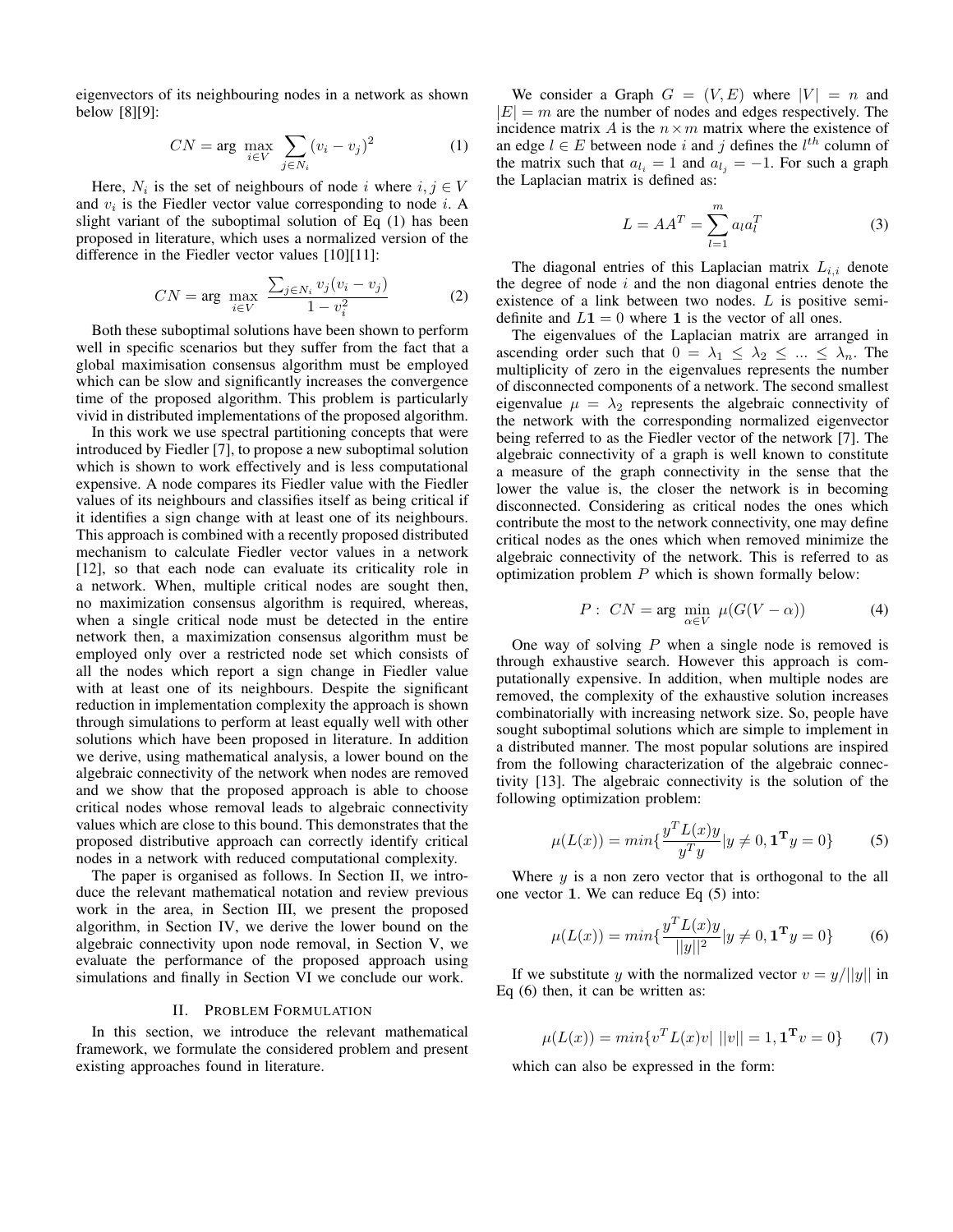eigenvectors of its neighbouring nodes in a network as shown below [8][9]:

$$
CN = \arg \max_{i \in V} \sum_{j \in N_i} (v_i - v_j)^2
$$
 (1)

Here,  $N_i$  is the set of neighbours of node i where  $i, j \in V$ and  $v_i$  is the Fiedler vector value corresponding to node  $i$ . A slight variant of the suboptimal solution of Eq (1) has been proposed in literature, which uses a normalized version of the difference in the Fiedler vector values [10][11]:

$$
CN = \arg \max_{i \in V} \frac{\sum_{j \in N_i} v_j (v_i - v_j)}{1 - v_i^2}
$$
 (2)

Both these suboptimal solutions have been shown to perform well in specific scenarios but they suffer from the fact that a global maximisation consensus algorithm must be employed which can be slow and significantly increases the convergence time of the proposed algorithm. This problem is particularly vivid in distributed implementations of the proposed algorithm.

In this work we use spectral partitioning concepts that were introduced by Fiedler [7], to propose a new suboptimal solution which is shown to work effectively and is less computational expensive. A node compares its Fiedler value with the Fiedler values of its neighbours and classifies itself as being critical if it identifies a sign change with at least one of its neighbours. This approach is combined with a recently proposed distributed mechanism to calculate Fiedler vector values in a network [12], so that each node can evaluate its criticality role in a network. When, multiple critical nodes are sought then, no maximization consensus algorithm is required, whereas, when a single critical node must be detected in the entire network then, a maximization consensus algorithm must be employed only over a restricted node set which consists of all the nodes which report a sign change in Fiedler value with at least one of its neighbours. Despite the significant reduction in implementation complexity the approach is shown through simulations to perform at least equally well with other solutions which have been proposed in literature. In addition we derive, using mathematical analysis, a lower bound on the algebraic connectivity of the network when nodes are removed and we show that the proposed approach is able to choose critical nodes whose removal leads to algebraic connectivity values which are close to this bound. This demonstrates that the proposed distributive approach can correctly identify critical nodes in a network with reduced computational complexity.

The paper is organised as follows. In Section II, we introduce the relevant mathematical notation and review previous work in the area, in Section III, we present the proposed algorithm, in Section IV, we derive the lower bound on the algebraic connectivity upon node removal, in Section V, we evaluate the performance of the proposed approach using simulations and finally in Section VI we conclude our work.

#### II. PROBLEM FORMULATION

In this section, we introduce the relevant mathematical framework, we formulate the considered problem and present existing approaches found in literature.

We consider a Graph  $G = (V, E)$  where  $|V| = n$  and  $|E| = m$  are the number of nodes and edges respectively. The incidence matrix A is the  $n \times m$  matrix where the existence of an edge  $l \in E$  between node i and j defines the  $l^{th}$  column of the matrix such that  $a_{l_i} = 1$  and  $a_{l_j} = -1$ . For such a graph the Laplacian matrix is defined as:

$$
L = AA^T = \sum_{l=1}^{m} a_l a_l^T \tag{3}
$$

The diagonal entries of this Laplacian matrix  $L_{i,i}$  denote the degree of node  $i$  and the non diagonal entries denote the existence of a link between two nodes. L is positive semidefinite and  $L1 = 0$  where 1 is the vector of all ones.

The eigenvalues of the Laplacian matrix are arranged in ascending order such that  $0 = \lambda_1 \leq \lambda_2 \leq ... \leq \lambda_n$ . The multiplicity of zero in the eigenvalues represents the number of disconnected components of a network. The second smallest eigenvalue  $\mu = \lambda_2$  represents the algebraic connectivity of the network with the corresponding normalized eigenvector being referred to as the Fiedler vector of the network [7]. The algebraic connectivity of a graph is well known to constitute a measure of the graph connectivity in the sense that the lower the value is, the closer the network is in becoming disconnected. Considering as critical nodes the ones which contribute the most to the network connectivity, one may define critical nodes as the ones which when removed minimize the algebraic connectivity of the network. This is referred to as optimization problem  $P$  which is shown formally below:

$$
P: CN = \arg\min_{\alpha \in V} \mu(G(V - \alpha)) \tag{4}
$$

One way of solving  $P$  when a single node is removed is through exhaustive search. However this approach is computationally expensive. In addition, when multiple nodes are removed, the complexity of the exhaustive solution increases combinatorially with increasing network size. So, people have sought suboptimal solutions which are simple to implement in a distributed manner. The most popular solutions are inspired from the following characterization of the algebraic connectivity [13]. The algebraic connectivity is the solution of the following optimization problem:

$$
\mu(L(x)) = \min\{\frac{y^T L(x)y}{y^T y} | y \neq 0, \mathbf{1}^{\mathbf{T}} y = 0\}
$$
 (5)

Where  $y$  is a non zero vector that is orthogonal to the all one vector 1. We can reduce Eq (5) into:

$$
\mu(L(x)) = \min\{\frac{y^T L(x)y}{||y||^2} | y \neq 0, \mathbf{1}^{\mathbf{T}} y = 0\}
$$
 (6)

If we substitute y with the normalized vector  $v = y/||y||$  in Eq (6) then, it can be written as:

$$
\mu(L(x)) = \min \{ v^T L(x) v | ||v|| = 1, \mathbf{1}^T v = 0 \}
$$
 (7)

which can also be expressed in the form: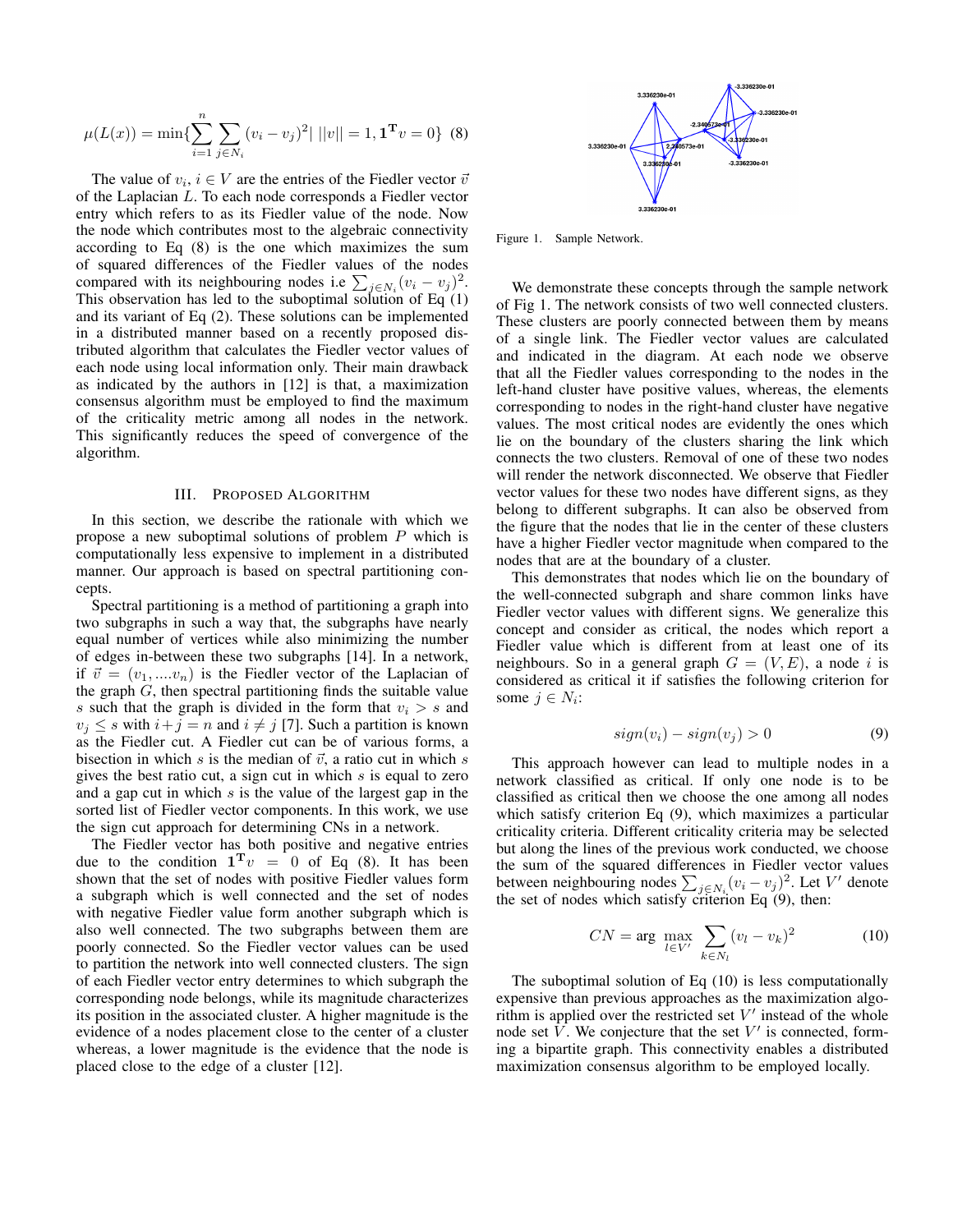$$
\mu(L(x)) = \min\{\sum_{i=1}^{n} \sum_{j \in N_i} (v_i - v_j)^2 | ||v|| = 1, \mathbf{1}^{\mathbf{T}} v = 0\} \tag{8}
$$

The value of  $v_i$ ,  $i \in V$  are the entries of the Fiedler vector  $\bar{v}$ of the Laplacian L. To each node corresponds a Fiedler vector entry which refers to as its Fiedler value of the node. Now the node which contributes most to the algebraic connectivity according to Eq (8) is the one which maximizes the sum of squared differences of the Fiedler values of the nodes compared with its neighbouring nodes i.e  $\sum_{j \in N_i} (v_i - v_j)^2$ . This observation has led to the suboptimal solution of Eq (1) and its variant of Eq (2). These solutions can be implemented in a distributed manner based on a recently proposed distributed algorithm that calculates the Fiedler vector values of each node using local information only. Their main drawback as indicated by the authors in [12] is that, a maximization consensus algorithm must be employed to find the maximum of the criticality metric among all nodes in the network. This significantly reduces the speed of convergence of the algorithm.

#### III. PROPOSED ALGORITHM

In this section, we describe the rationale with which we propose a new suboptimal solutions of problem P which is computationally less expensive to implement in a distributed manner. Our approach is based on spectral partitioning concepts.

Spectral partitioning is a method of partitioning a graph into two subgraphs in such a way that, the subgraphs have nearly equal number of vertices while also minimizing the number of edges in-between these two subgraphs [14]. In a network, if  $\vec{v} = (v_1, ..., v_n)$  is the Fiedler vector of the Laplacian of the graph  $G$ , then spectral partitioning finds the suitable value s such that the graph is divided in the form that  $v_i > s$  and  $v_j \leq s$  with  $i+j = n$  and  $i \neq j$  [7]. Such a partition is known as the Fiedler cut. A Fiedler cut can be of various forms, a bisection in which s is the median of  $\vec{v}$ , a ratio cut in which s gives the best ratio cut, a sign cut in which  $s$  is equal to zero and a gap cut in which  $s$  is the value of the largest gap in the sorted list of Fiedler vector components. In this work, we use the sign cut approach for determining CNs in a network.

The Fiedler vector has both positive and negative entries due to the condition  $\mathbf{1}^T v = 0$  of Eq (8). It has been shown that the set of nodes with positive Fiedler values form a subgraph which is well connected and the set of nodes with negative Fiedler value form another subgraph which is also well connected. The two subgraphs between them are poorly connected. So the Fiedler vector values can be used to partition the network into well connected clusters. The sign of each Fiedler vector entry determines to which subgraph the corresponding node belongs, while its magnitude characterizes its position in the associated cluster. A higher magnitude is the evidence of a nodes placement close to the center of a cluster whereas, a lower magnitude is the evidence that the node is placed close to the edge of a cluster [12].



Figure 1. Sample Network.

We demonstrate these concepts through the sample network of Fig 1. The network consists of two well connected clusters. These clusters are poorly connected between them by means of a single link. The Fiedler vector values are calculated and indicated in the diagram. At each node we observe that all the Fiedler values corresponding to the nodes in the left-hand cluster have positive values, whereas, the elements corresponding to nodes in the right-hand cluster have negative values. The most critical nodes are evidently the ones which lie on the boundary of the clusters sharing the link which connects the two clusters. Removal of one of these two nodes will render the network disconnected. We observe that Fiedler vector values for these two nodes have different signs, as they belong to different subgraphs. It can also be observed from the figure that the nodes that lie in the center of these clusters have a higher Fiedler vector magnitude when compared to the nodes that are at the boundary of a cluster.

This demonstrates that nodes which lie on the boundary of the well-connected subgraph and share common links have Fiedler vector values with different signs. We generalize this concept and consider as critical, the nodes which report a Fiedler value which is different from at least one of its neighbours. So in a general graph  $G = (V, E)$ , a node i is considered as critical it if satisfies the following criterion for some  $j \in N_i$ :

$$
sign(v_i) - sign(v_j) > 0 \tag{9}
$$

This approach however can lead to multiple nodes in a network classified as critical. If only one node is to be classified as critical then we choose the one among all nodes which satisfy criterion Eq (9), which maximizes a particular criticality criteria. Different criticality criteria may be selected but along the lines of the previous work conducted, we choose the sum of the squared differences in Fiedler vector values between neighbouring nodes  $\sum_{j \in N_i} (v_i - v_j)^2$ . Let V' denote the set of nodes which satisfy criterion Eq (9), then:

$$
CN = \arg \max_{l \in V'} \sum_{k \in N_l} (v_l - v_k)^2
$$
 (10)

The suboptimal solution of Eq (10) is less computationally expensive than previous approaches as the maximization algorithm is applied over the restricted set  $V'$  instead of the whole node set  $\hat{V}$ . We conjecture that the set  $V'$  is connected, forming a bipartite graph. This connectivity enables a distributed maximization consensus algorithm to be employed locally.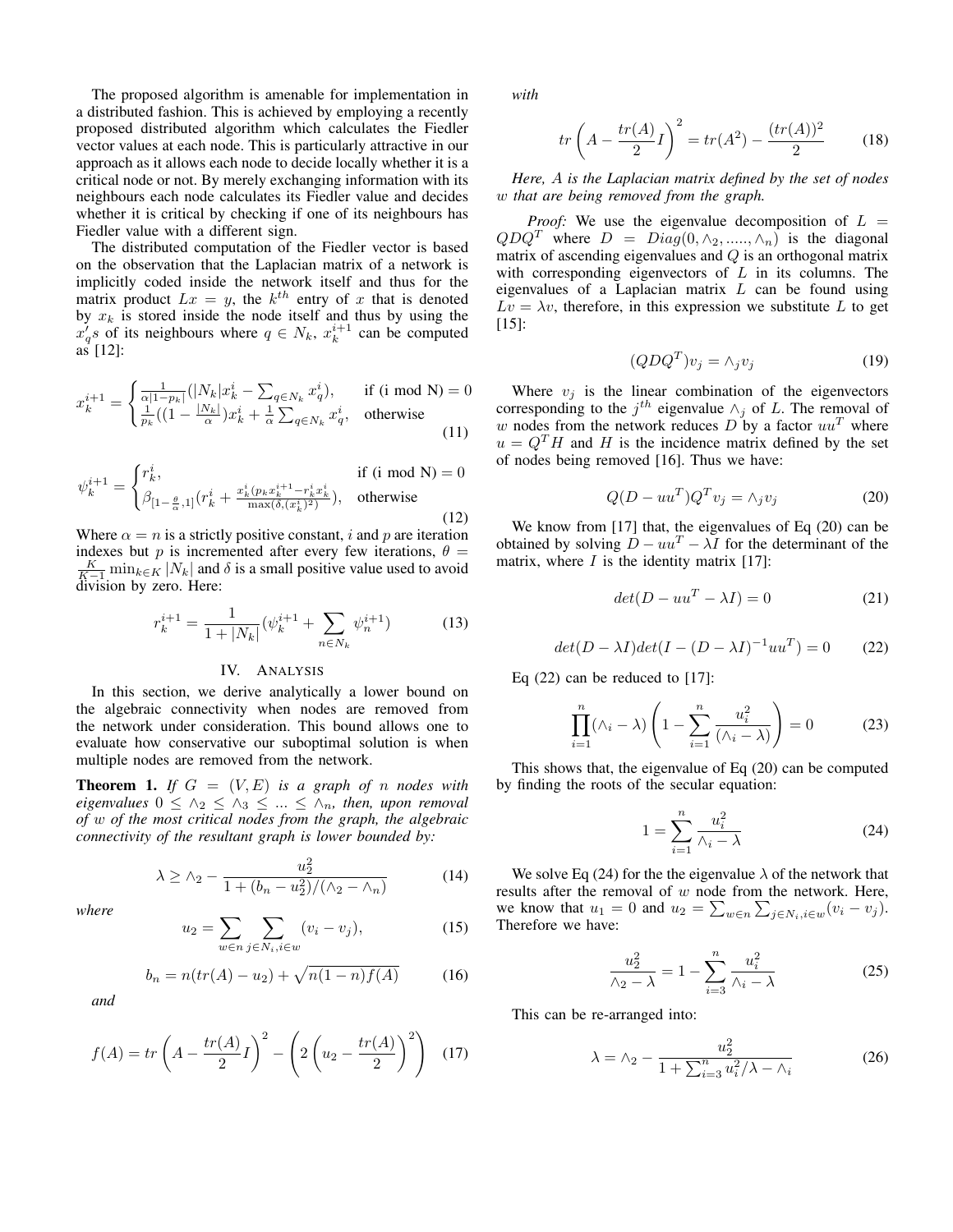The proposed algorithm is amenable for implementation in a distributed fashion. This is achieved by employing a recently proposed distributed algorithm which calculates the Fiedler vector values at each node. This is particularly attractive in our approach as it allows each node to decide locally whether it is a critical node or not. By merely exchanging information with its neighbours each node calculates its Fiedler value and decides whether it is critical by checking if one of its neighbours has Fiedler value with a different sign.

The distributed computation of the Fiedler vector is based on the observation that the Laplacian matrix of a network is implicitly coded inside the network itself and thus for the matrix product  $Lx = y$ , the  $k^{th}$  entry of x that is denoted by  $x_k$  is stored inside the node itself and thus by using the  $x'_q$ s of its neighbours where  $q \in N_k$ ,  $x_k^{i+1}$  can be computed  $as$  [12]:

$$
x_k^{i+1} = \begin{cases} \frac{1}{\alpha |1 - p_k|} (|N_k| x_k^i - \sum_{q \in N_k} x_q^i), & \text{if (i mod N)} = 0\\ \frac{1}{p_k} ((1 - \frac{|N_k|}{\alpha}) x_k^i + \frac{1}{\alpha} \sum_{q \in N_k} x_q^i, & \text{otherwise} \end{cases}
$$
(11)

$$
\psi_k^{i+1} = \begin{cases} r_k^i, & \text{if (i mod N)} = 0\\ \beta_{[1-\frac{\theta}{\alpha},1]}(r_k^i + \frac{x_k^i (p_k x_k^{i+1} - r_k^i x_k^i)}{\max(\delta, (x_k^i)^2)}, & \text{otherwise} \end{cases}
$$
(12)

Where  $\alpha = n$  is a strictly positive constant, i and p are iteration indexes but p is incremented after every few iterations,  $\theta =$  $\frac{K}{K-1}$  min $_{k \in K} |N_k|$  and  $\delta$  is a small positive value used to avoid division by zero. Here:

$$
r_k^{i+1} = \frac{1}{1+|N_k|} (\psi_k^{i+1} + \sum_{n \in N_k} \psi_n^{i+1})
$$
 (13)

#### IV. ANALYSIS

In this section, we derive analytically a lower bound on the algebraic connectivity when nodes are removed from the network under consideration. This bound allows one to evaluate how conservative our suboptimal solution is when multiple nodes are removed from the network.

**Theorem 1.** If  $G = (V, E)$  is a graph of n nodes with *eigenvalues*  $0 \leq \lambda_2 \leq \lambda_3 \leq ... \leq \lambda_n$ , then, upon removal *of* w *of the most critical nodes from the graph, the algebraic connectivity of the resultant graph is lower bounded by:*

$$
\lambda \ge \lambda_2 - \frac{u_2^2}{1 + (b_n - u_2^2) / (\lambda_2 - \lambda_n)}
$$
(14)

*where*

$$
u_2 = \sum_{w \in n} \sum_{j \in N_i, i \in w} (v_i - v_j),
$$
 (15)

$$
b_n = n(tr(A) - u_2) + \sqrt{n(1 - n)f(A)}
$$
 (16)

*and*

$$
f(A) = tr\left(A - \frac{tr(A)}{2}I\right)^2 - \left(2\left(u_2 - \frac{tr(A)}{2}\right)^2\right) \tag{17}
$$

*with*

$$
tr\left(A - \frac{tr(A)}{2}I\right)^2 = tr(A^2) - \frac{(tr(A))^2}{2} \tag{18}
$$

*Here,* A *is the Laplacian matrix defined by the set of nodes* w *that are being removed from the graph.*

*Proof:* We use the eigenvalue decomposition of  $L =$  $QDQ<sup>T</sup>$  where  $D = Diag(0, \land_2, \ldots, \land_n)$  is the diagonal matrix of ascending eigenvalues and  $Q$  is an orthogonal matrix with corresponding eigenvectors of  $L$  in its columns. The eigenvalues of a Laplacian matrix  $L$  can be found using  $Lv = \lambda v$ , therefore, in this expression we substitute L to get [15]:

$$
(QDQT)vj = \wedge_j v_j
$$
 (19)

Where  $v_j$  is the linear combination of the eigenvectors corresponding to the  $j^{th}$  eigenvalue  $\wedge_j$  of L. The removal of w nodes from the network reduces D by a factor  $uu^T$  where  $u = Q<sup>T</sup>H$  and H is the incidence matrix defined by the set of nodes being removed [16]. Thus we have:

$$
Q(D - uu^T)Q^T v_j = \wedge_j v_j \tag{20}
$$

We know from [17] that, the eigenvalues of Eq (20) can be obtained by solving  $D - uu^T - \lambda I$  for the determinant of the matrix, where  $I$  is the identity matrix [17]:

$$
det(D - uu^T - \lambda I) = 0 \tag{21}
$$

$$
det(D - \lambda I)det(I - (D - \lambda I)^{-1}uu^T) = 0 \qquad (22)
$$

Eq  $(22)$  can be reduced to  $[17]$ :

$$
\prod_{i=1}^{n} (\wedge_i - \lambda) \left( 1 - \sum_{i=1}^{n} \frac{u_i^2}{(\wedge_i - \lambda)} \right) = 0 \tag{23}
$$

This shows that, the eigenvalue of Eq (20) can be computed by finding the roots of the secular equation:

$$
1 = \sum_{i=1}^{n} \frac{u_i^2}{\wedge_i - \lambda} \tag{24}
$$

We solve Eq (24) for the the eigenvalue  $\lambda$  of the network that results after the removal of  $w$  node from the network. Here, we know that  $u_1 = 0$  and  $u_2 = \sum_{w \in n} \sum_{j \in N_i, i \in w} (v_i - v_j)$ . Therefore we have:

$$
\frac{u_2^2}{\lambda_2 - \lambda} = 1 - \sum_{i=3}^n \frac{u_i^2}{\lambda_i - \lambda}
$$
 (25)

This can be re-arranged into:

$$
\lambda = \lambda_2 - \frac{u_2^2}{1 + \sum_{i=3}^n u_i^2 / \lambda - \lambda_i}
$$
 (26)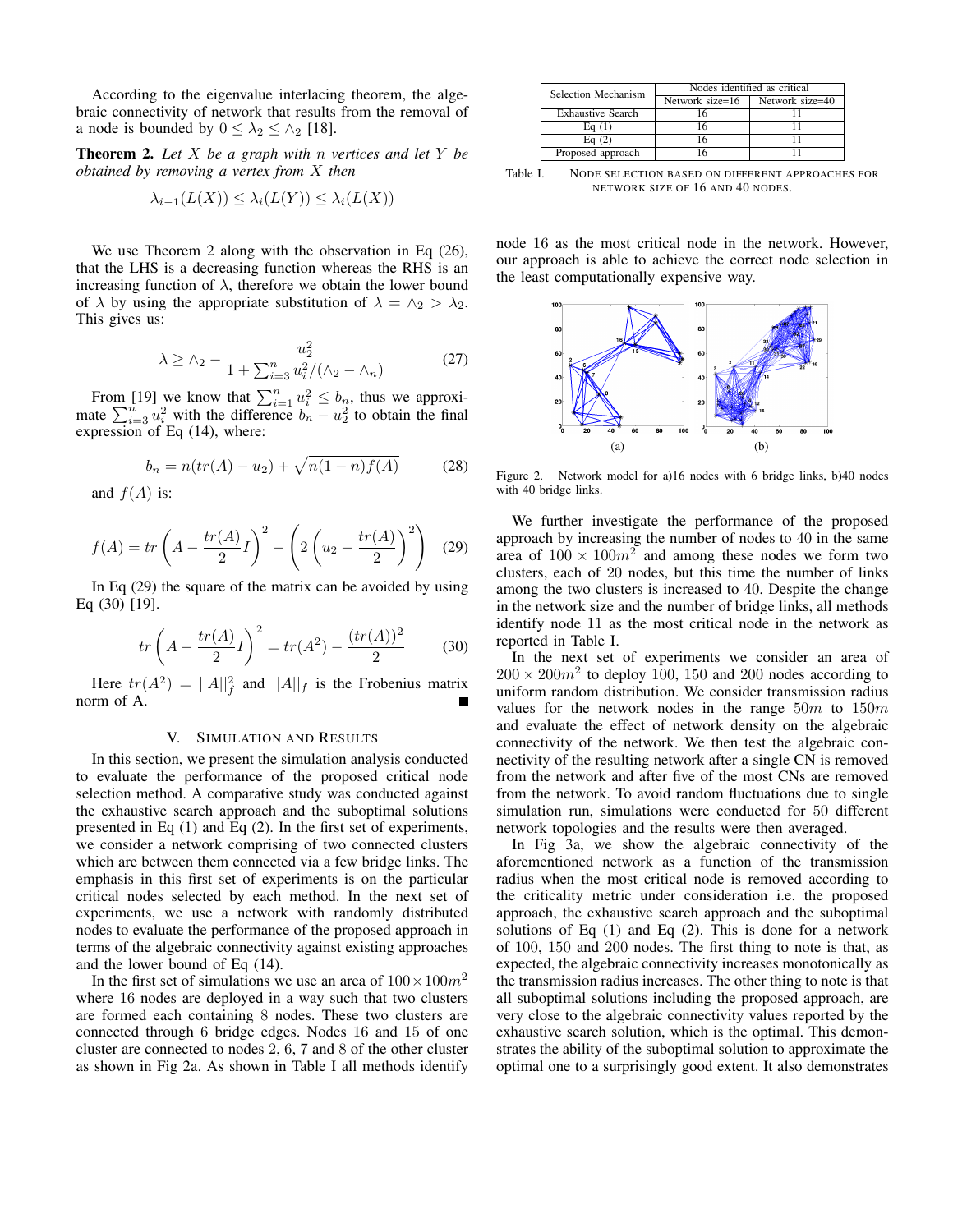According to the eigenvalue interlacing theorem, the algebraic connectivity of network that results from the removal of a node is bounded by  $0 \leq \lambda_2 \leq \lambda_2$  [18].

Theorem 2. *Let* X *be a graph with* n *vertices and let* Y *be obtained by removing a vertex from* X *then*

$$
\lambda_{i-1}(L(X)) \leq \lambda_i(L(Y)) \leq \lambda_i(L(X))
$$

We use Theorem 2 along with the observation in Eq (26), that the LHS is a decreasing function whereas the RHS is an increasing function of  $\lambda$ , therefore we obtain the lower bound of  $\lambda$  by using the appropriate substitution of  $\lambda = \lambda_2 > \lambda_2$ . This gives us:

$$
\lambda \ge \lambda_2 - \frac{u_2^2}{1 + \sum_{i=3}^n u_i^2 / (\lambda_2 - \lambda_n)}
$$
 (27)

From [19] we know that  $\sum_{i=1}^{n} u_i^2 \leq b_n$ , thus we approximate  $\sum_{i=3}^{n} u_i^2$  with the difference  $b_n - u_2^2$  to obtain the final expression of Eq (14), where:

$$
b_n = n(tr(A) - u_2) + \sqrt{n(1 - n)f(A)}
$$
 (28)

and  $f(A)$  is:

$$
f(A) = tr\left(A - \frac{tr(A)}{2}I\right)^2 - \left(2\left(u_2 - \frac{tr(A)}{2}\right)^2\right)
$$
 (29)

In Eq (29) the square of the matrix can be avoided by using Eq (30) [19].

$$
tr\left(A - \frac{tr(A)}{2}I\right)^2 = tr(A^2) - \frac{(tr(A))^2}{2} \tag{30}
$$

Here  $tr(A^2) = ||A||_f^2$  and  $||A||_f$  is the Frobenius matrix norm of A.

#### V. SIMULATION AND RESULTS

In this section, we present the simulation analysis conducted to evaluate the performance of the proposed critical node selection method. A comparative study was conducted against the exhaustive search approach and the suboptimal solutions presented in Eq (1) and Eq (2). In the first set of experiments, we consider a network comprising of two connected clusters which are between them connected via a few bridge links. The emphasis in this first set of experiments is on the particular critical nodes selected by each method. In the next set of experiments, we use a network with randomly distributed nodes to evaluate the performance of the proposed approach in terms of the algebraic connectivity against existing approaches and the lower bound of Eq (14).

In the first set of simulations we use an area of  $100 \times 100m^2$ where 16 nodes are deployed in a way such that two clusters are formed each containing 8 nodes. These two clusters are connected through 6 bridge edges. Nodes 16 and 15 of one cluster are connected to nodes 2, 6, 7 and 8 of the other cluster as shown in Fig 2a. As shown in Table I all methods identify

| Selection Mechanism      | Nodes identified as critical |                 |
|--------------------------|------------------------------|-----------------|
|                          | Network size=16              | Network size=40 |
| <b>Exhaustive Search</b> |                              |                 |
| Eq(1)                    |                              |                 |
| Eq $(2)$                 |                              |                 |
| Proposed approach        |                              |                 |

Table I. NODE SELECTION BASED ON DIFFERENT APPROACHES FOR NETWORK SIZE OF 16 AND 40 NODES.

node 16 as the most critical node in the network. However, our approach is able to achieve the correct node selection in the least computationally expensive way.



Figure 2. Network model for a)16 nodes with 6 bridge links, b)40 nodes with 40 bridge links.

We further investigate the performance of the proposed approach by increasing the number of nodes to 40 in the same area of  $100 \times 100m^2$  and among these nodes we form two clusters, each of 20 nodes, but this time the number of links among the two clusters is increased to 40. Despite the change in the network size and the number of bridge links, all methods identify node 11 as the most critical node in the network as reported in Table I.

In the next set of experiments we consider an area of  $200 \times 200 m^2$  to deploy 100, 150 and 200 nodes according to uniform random distribution. We consider transmission radius values for the network nodes in the range  $50m$  to  $150m$ and evaluate the effect of network density on the algebraic connectivity of the network. We then test the algebraic connectivity of the resulting network after a single CN is removed from the network and after five of the most CNs are removed from the network. To avoid random fluctuations due to single simulation run, simulations were conducted for 50 different network topologies and the results were then averaged.

In Fig 3a, we show the algebraic connectivity of the aforementioned network as a function of the transmission radius when the most critical node is removed according to the criticality metric under consideration i.e. the proposed approach, the exhaustive search approach and the suboptimal solutions of Eq  $(1)$  and Eq  $(2)$ . This is done for a network of 100, 150 and 200 nodes. The first thing to note is that, as expected, the algebraic connectivity increases monotonically as the transmission radius increases. The other thing to note is that all suboptimal solutions including the proposed approach, are very close to the algebraic connectivity values reported by the exhaustive search solution, which is the optimal. This demonstrates the ability of the suboptimal solution to approximate the optimal one to a surprisingly good extent. It also demonstrates